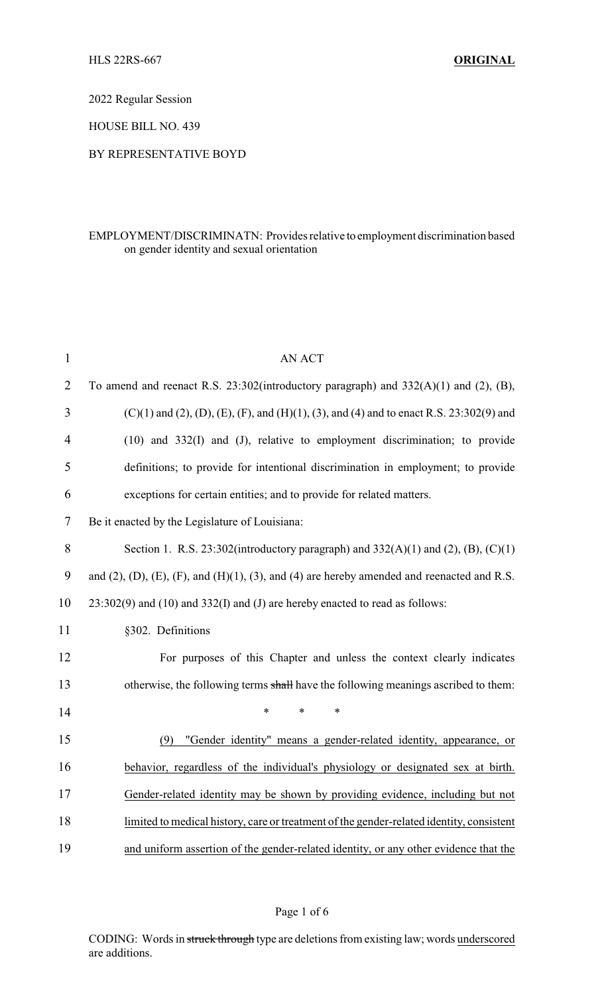2022 Regular Session

HOUSE BILL NO. 439

## BY REPRESENTATIVE BOYD

# EMPLOYMENT/DISCRIMINATN: Provides relative to employment discrimination based on gender identity and sexual orientation

| $\mathbf{1}$   | <b>AN ACT</b>                                                                                                  |
|----------------|----------------------------------------------------------------------------------------------------------------|
| $\overline{2}$ | To amend and reenact R.S. $23:302$ (introductory paragraph) and $332(A)(1)$ and $(2)$ , $(B)$ ,                |
| 3              | $(C)(1)$ and $(2)$ , $(D)$ , $(E)$ , $(F)$ , and $(H)(1)$ , $(3)$ , and $(4)$ and to enact R.S. 23:302(9) and  |
| $\overline{4}$ | $(10)$ and $332(I)$ and $(J)$ , relative to employment discrimination; to provide                              |
| 5              | definitions; to provide for intentional discrimination in employment; to provide                               |
| 6              | exceptions for certain entities; and to provide for related matters.                                           |
| 7              | Be it enacted by the Legislature of Louisiana:                                                                 |
| $8\,$          | Section 1. R.S. 23:302(introductory paragraph) and $332(A)(1)$ and $(2)$ , $(B)$ , $(C)(1)$                    |
| 9              | and $(2)$ , $(D)$ , $(E)$ , $(F)$ , and $(H)(1)$ , $(3)$ , and $(4)$ are hereby amended and reenacted and R.S. |
| 10             | $23:302(9)$ and $(10)$ and $332(I)$ and $(J)$ are hereby enacted to read as follows:                           |
| 11             | §302. Definitions                                                                                              |
| 12             | For purposes of this Chapter and unless the context clearly indicates                                          |
| 13             | otherwise, the following terms shall have the following meanings ascribed to them:                             |
| 14             | $\ast$<br>$\ast$<br>$\ast$                                                                                     |
| 15             | "Gender identity" means a gender-related identity, appearance, or<br>(9)                                       |
| 16             | behavior, regardless of the individual's physiology or designated sex at birth.                                |
| 17             | Gender-related identity may be shown by providing evidence, including but not                                  |
| 18             | limited to medical history, care or treatment of the gender-related identity, consistent                       |
| 19             | and uniform assertion of the gender-related identity, or any other evidence that the                           |

## Page 1 of 6

CODING: Words in struck through type are deletions from existing law; words underscored are additions.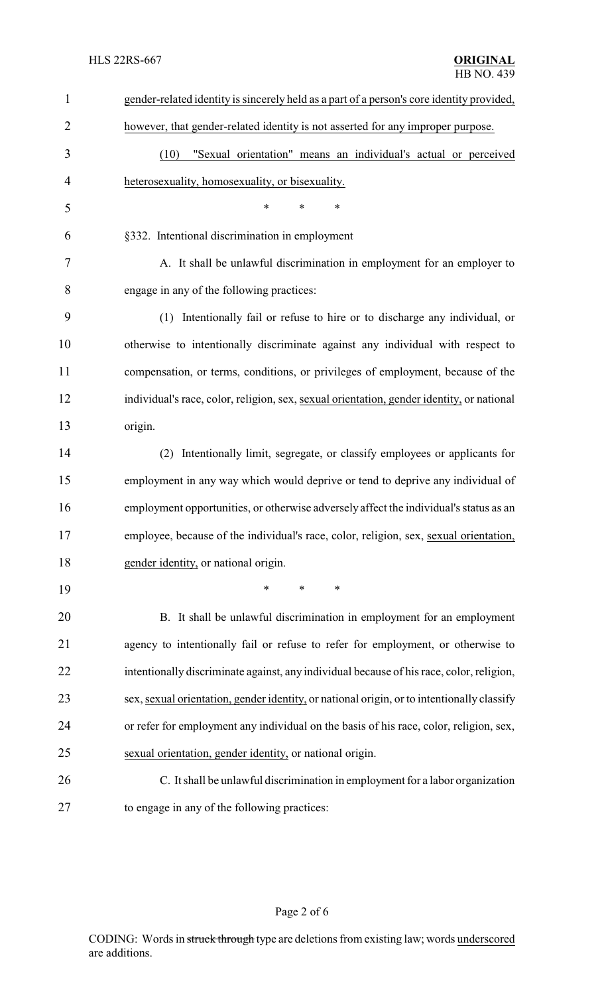| $\mathbf{1}$   | gender-related identity is sincerely held as a part of a person's core identity provided,  |
|----------------|--------------------------------------------------------------------------------------------|
| $\overline{2}$ | however, that gender-related identity is not asserted for any improper purpose.            |
| 3              | "Sexual orientation" means an individual's actual or perceived<br>(10)                     |
| 4              | heterosexuality, homosexuality, or bisexuality.                                            |
| 5              | $\ast$<br>*<br>*                                                                           |
| 6              | §332. Intentional discrimination in employment                                             |
| 7              | A. It shall be unlawful discrimination in employment for an employer to                    |
| 8              | engage in any of the following practices:                                                  |
| 9              | (1) Intentionally fail or refuse to hire or to discharge any individual, or                |
| 10             | otherwise to intentionally discriminate against any individual with respect to             |
| 11             | compensation, or terms, conditions, or privileges of employment, because of the            |
| 12             | individual's race, color, religion, sex, sexual orientation, gender identity, or national  |
| 13             | origin.                                                                                    |
| 14             | Intentionally limit, segregate, or classify employees or applicants for<br>(2)             |
| 15             | employment in any way which would deprive or tend to deprive any individual of             |
| 16             | employment opportunities, or otherwise adversely affect the individual's status as an      |
| 17             | employee, because of the individual's race, color, religion, sex, sexual orientation,      |
| 18             | gender identity, or national origin.                                                       |
| 19             | *<br>∗<br>*                                                                                |
| 20             | B. It shall be unlawful discrimination in employment for an employment                     |
| 21             | agency to intentionally fail or refuse to refer for employment, or otherwise to            |
| 22             | intentionally discriminate against, any individual because of his race, color, religion,   |
| 23             | sex, sexual orientation, gender identity, or national origin, or to intentionally classify |
| 24             | or refer for employment any individual on the basis of his race, color, religion, sex,     |
| 25             | sexual orientation, gender identity, or national origin.                                   |
| 26             | C. It shall be unlawful discrimination in employment for a labor organization              |
| 27             | to engage in any of the following practices:                                               |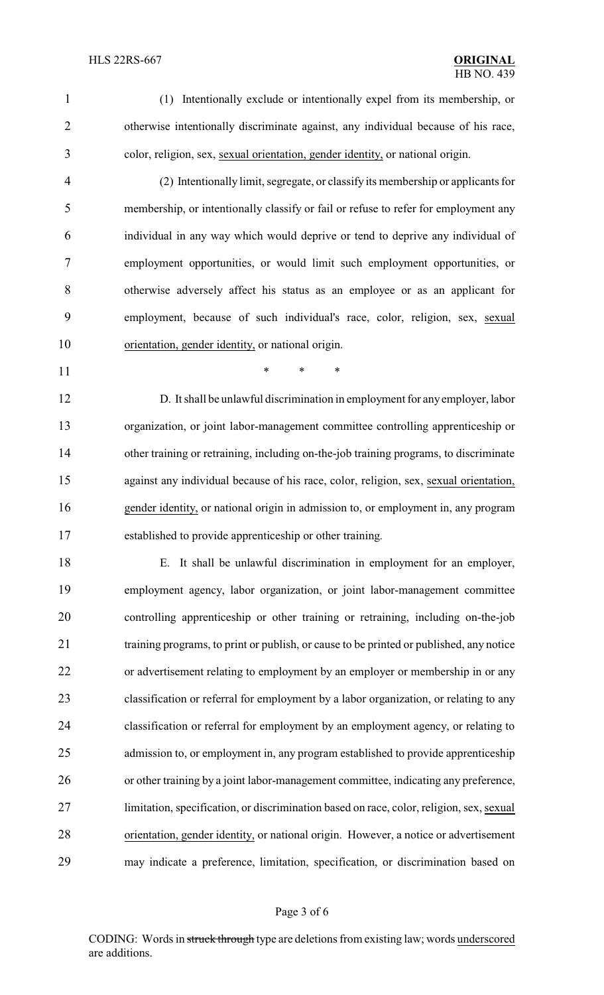- 
- 

 (1) Intentionally exclude or intentionally expel from its membership, or otherwise intentionally discriminate against, any individual because of his race, color, religion, sex, sexual orientation, gender identity, or national origin.

 (2) Intentionally limit, segregate, or classify its membership or applicants for membership, or intentionally classify or fail or refuse to refer for employment any individual in any way which would deprive or tend to deprive any individual of employment opportunities, or would limit such employment opportunities, or otherwise adversely affect his status as an employee or as an applicant for employment, because of such individual's race, color, religion, sex, sexual orientation, gender identity, or national origin.

**\*** \* \* \*

 D. It shall be unlawful discrimination in employment for anyemployer, labor organization, or joint labor-management committee controlling apprenticeship or 14 other training or retraining, including on-the-job training programs, to discriminate against any individual because of his race, color, religion, sex, sexual orientation, gender identity, or national origin in admission to, or employment in, any program established to provide apprenticeship or other training.

 E. It shall be unlawful discrimination in employment for an employer, employment agency, labor organization, or joint labor-management committee controlling apprenticeship or other training or retraining, including on-the-job training programs, to print or publish, or cause to be printed or published, any notice or advertisement relating to employment by an employer or membership in or any classification or referral for employment by a labor organization, or relating to any classification or referral for employment by an employment agency, or relating to admission to, or employment in, any program established to provide apprenticeship or other training by a joint labor-management committee, indicating any preference, limitation, specification, or discrimination based on race, color, religion, sex, sexual orientation, gender identity, or national origin. However, a notice or advertisement may indicate a preference, limitation, specification, or discrimination based on

#### Page 3 of 6

CODING: Words in struck through type are deletions from existing law; words underscored are additions.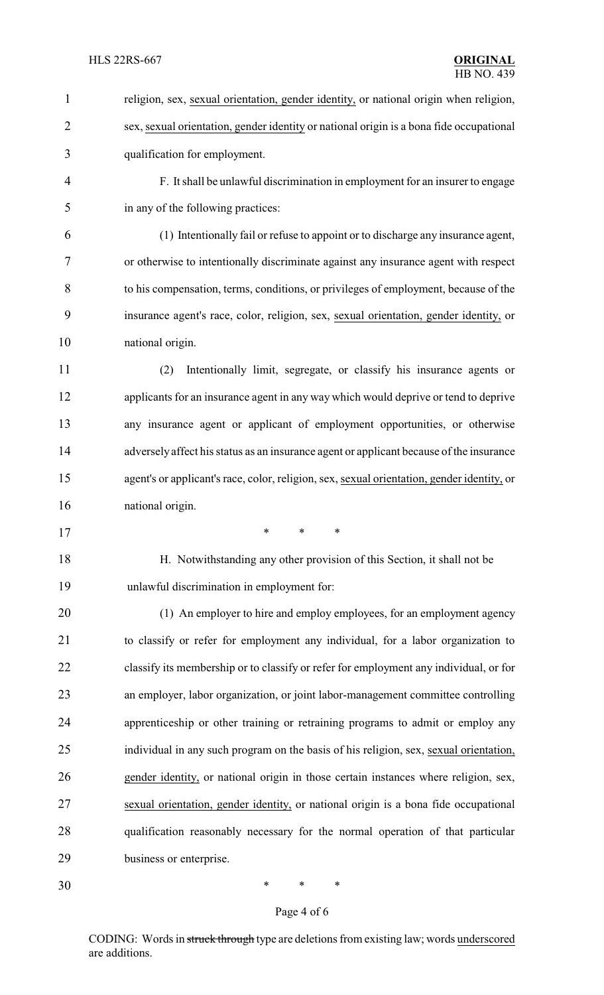religion, sex, sexual orientation, gender identity, or national origin when religion, sex, sexual orientation, gender identity or national origin is a bona fide occupational qualification for employment. F. It shall be unlawful discrimination in employment for an insurer to engage in any of the following practices: (1) Intentionally fail or refuse to appoint or to discharge any insurance agent, or otherwise to intentionally discriminate against any insurance agent with respect to his compensation, terms, conditions, or privileges of employment, because of the insurance agent's race, color, religion, sex, sexual orientation, gender identity, or national origin. (2) Intentionally limit, segregate, or classify his insurance agents or applicants for an insurance agent in any way which would deprive or tend to deprive any insurance agent or applicant of employment opportunities, or otherwise adversely affect his status as an insurance agent or applicant because of the insurance agent's or applicant's race, color, religion, sex, sexual orientation, gender identity, or national origin. \* \* \* H. Notwithstanding any other provision of this Section, it shall not be unlawful discrimination in employment for: 20 (1) An employer to hire and employ employees, for an employment agency to classify or refer for employment any individual, for a labor organization to classify its membership or to classify or refer for employment any individual, or for an employer, labor organization, or joint labor-management committee controlling apprenticeship or other training or retraining programs to admit or employ any individual in any such program on the basis of his religion, sex, sexual orientation, gender identity, or national origin in those certain instances where religion, sex, sexual orientation, gender identity, or national origin is a bona fide occupational qualification reasonably necessary for the normal operation of that particular business or enterprise.

Page 4 of 6

\* \* \*

CODING: Words in struck through type are deletions from existing law; words underscored are additions.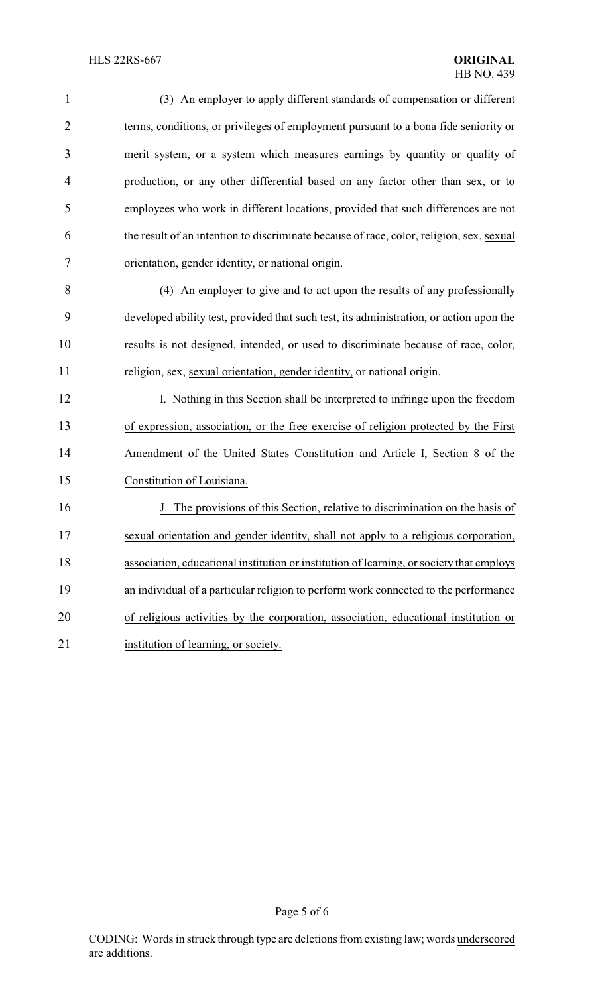| $\mathbf{1}$   | (3) An employer to apply different standards of compensation or different                |
|----------------|------------------------------------------------------------------------------------------|
| $\overline{2}$ | terms, conditions, or privileges of employment pursuant to a bona fide seniority or      |
| 3              | merit system, or a system which measures earnings by quantity or quality of              |
| $\overline{4}$ | production, or any other differential based on any factor other than sex, or to          |
| 5              | employees who work in different locations, provided that such differences are not        |
| 6              | the result of an intention to discriminate because of race, color, religion, sex, sexual |
| 7              | orientation, gender identity, or national origin.                                        |
| 8              | (4) An employer to give and to act upon the results of any professionally                |
| 9              | developed ability test, provided that such test, its administration, or action upon the  |
| 10             | results is not designed, intended, or used to discriminate because of race, color,       |
| 11             | religion, sex, sexual orientation, gender identity, or national origin.                  |
| 12             | I. Nothing in this Section shall be interpreted to infringe upon the freedom             |
| 13             | of expression, association, or the free exercise of religion protected by the First      |
| 14             | Amendment of the United States Constitution and Article I, Section 8 of the              |
| 15             | Constitution of Louisiana.                                                               |
| 16             | J. The provisions of this Section, relative to discrimination on the basis of            |
| 17             | sexual orientation and gender identity, shall not apply to a religious corporation,      |
| 18             | association, educational institution or institution of learning, or society that employs |
| 19             | an individual of a particular religion to perform work connected to the performance      |
| 20             | of religious activities by the corporation, association, educational institution or      |
| 21             | institution of learning, or society.                                                     |